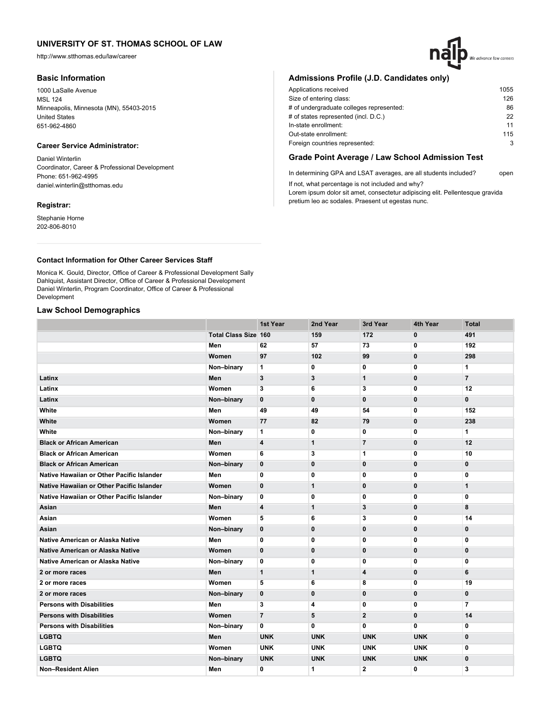http://www.stthomas.edu/law/career

## **Basic Information**

1000 LaSalle Avenue MSL 124 Minneapolis, Minnesota (MN), 55403-2015 United States 651-962-4860

# **Career Service Administrator:**

Daniel Winterlin Coordinator, Career & Professional Development Phone: 651-962-4995 daniel.winterlin@stthomas.edu

## **Registrar:**

Stephanie Horne 202-806-8010

# We advance law careers

## **Admissions Profile (J.D. Candidates only)**

| Applications received                    | 1055 |
|------------------------------------------|------|
| Size of entering class:                  | 126  |
| # of undergraduate colleges represented: | 86   |
| # of states represented (incl. D.C.)     | 22   |
| In-state enrollment:                     | 11   |
| Out-state enrollment:                    | 115  |
| Foreign countries represented:           | 3    |
|                                          |      |

# **Grade Point Average / Law School Admission Test**

In determining GPA and LSAT averages, are all students included? open If not, what percentage is not included and why?

Lorem ipsum dolor sit amet, consectetur adipiscing elit. Pellentesque gravida pretium leo ac sodales. Praesent ut egestas nunc.

## **Contact Information for Other Career Services Staff**

Monica K. Gould, Director, Office of Career & Professional Development Sally Dahlquist, Assistant Director, Office of Career & Professional Development Daniel Winterlin, Program Coordinator, Office of Career & Professional Development

## **Law School Demographics**

|                                           |                             | 1st Year       | 2nd Year     | 3rd Year       | 4th Year     | <b>Total</b>   |
|-------------------------------------------|-----------------------------|----------------|--------------|----------------|--------------|----------------|
|                                           | <b>Total Class Size 160</b> |                | 159          | 172            | 0            | 491            |
|                                           | Men                         | 62             | 57           | 73             | 0            | 192            |
|                                           | Women                       | 97             | 102          | 99             | $\mathbf{0}$ | 298            |
|                                           | Non-binary                  | 1              | 0            | 0              | 0            | 1              |
| Latinx                                    | Men                         | 3              | 3            | 1              | 0            | $\overline{7}$ |
| Latinx                                    | Women                       | 3              | 6            | 3              | 0            | 12             |
| Latinx                                    | Non-binary                  | $\mathbf{0}$   | $\mathbf 0$  | $\mathbf 0$    | $\mathbf 0$  | $\mathbf 0$    |
| White                                     | Men                         | 49             | 49           | 54             | 0            | 152            |
| White                                     | Women                       | 77             | 82           | 79             | 0            | 238            |
| White                                     | Non-binary                  | 1              | 0            | 0              | 0            | 1              |
| <b>Black or African American</b>          | Men                         | 4              | $\mathbf{1}$ | $\overline{7}$ | $\mathbf 0$  | 12             |
| <b>Black or African American</b>          | Women                       | 6              | 3            | 1              | 0            | 10             |
| <b>Black or African American</b>          | Non-binary                  | 0              | $\mathbf 0$  | $\mathbf 0$    | $\mathbf 0$  | $\mathbf 0$    |
| Native Hawaiian or Other Pacific Islander | Men                         | 0              | 0            | 0              | 0            | 0              |
| Native Hawaiian or Other Pacific Islander | Women                       | $\mathbf 0$    | $\mathbf{1}$ | $\bf{0}$       | $\mathbf 0$  | $\mathbf{1}$   |
| Native Hawaiian or Other Pacific Islander | Non-binary                  | 0              | 0            | 0              | 0            | 0              |
| Asian                                     | Men                         | 4              | $\mathbf{1}$ | 3              | $\mathbf{0}$ | 8              |
| Asian                                     | Women                       | 5              | 6            | 3              | 0            | 14             |
| Asian                                     | Non-binary                  | 0              | $\bf{0}$     | 0              | 0            | $\mathbf 0$    |
| Native American or Alaska Native          | Men                         | 0              | 0            | 0              | 0            | 0              |
| Native American or Alaska Native          | Women                       | $\mathbf{0}$   | $\mathbf 0$  | $\mathbf 0$    | $\mathbf 0$  | $\mathbf 0$    |
| Native American or Alaska Native          | Non-binary                  | 0              | 0            | 0              | 0            | 0              |
| 2 or more races                           | Men                         | $\mathbf{1}$   | $\mathbf{1}$ | 4              | 0            | 6              |
| 2 or more races                           | Women                       | 5              | 6            | 8              | 0            | 19             |
| 2 or more races                           | Non-binary                  | 0              | $\bf{0}$     | $\bf{0}$       | 0            | $\mathbf{0}$   |
| <b>Persons with Disabilities</b>          | Men                         | 3              | 4            | 0              | 0            | $\overline{7}$ |
| <b>Persons with Disabilities</b>          | Women                       | $\overline{7}$ | 5            | $\overline{2}$ | $\mathbf{0}$ | 14             |
| <b>Persons with Disabilities</b>          | Non-binary                  | 0              | 0            | $\mathbf{0}$   | 0            | 0              |
| <b>LGBTQ</b>                              | Men                         | <b>UNK</b>     | <b>UNK</b>   | <b>UNK</b>     | <b>UNK</b>   | $\mathbf 0$    |
| <b>LGBTQ</b>                              | Women                       | <b>UNK</b>     | <b>UNK</b>   | <b>UNK</b>     | <b>UNK</b>   | 0              |
| <b>LGBTQ</b>                              | Non-binary                  | <b>UNK</b>     | <b>UNK</b>   | <b>UNK</b>     | <b>UNK</b>   | $\bf{0}$       |
| Non-Resident Alien                        | Men                         | 0              | 1            | 2              | 0            | 3              |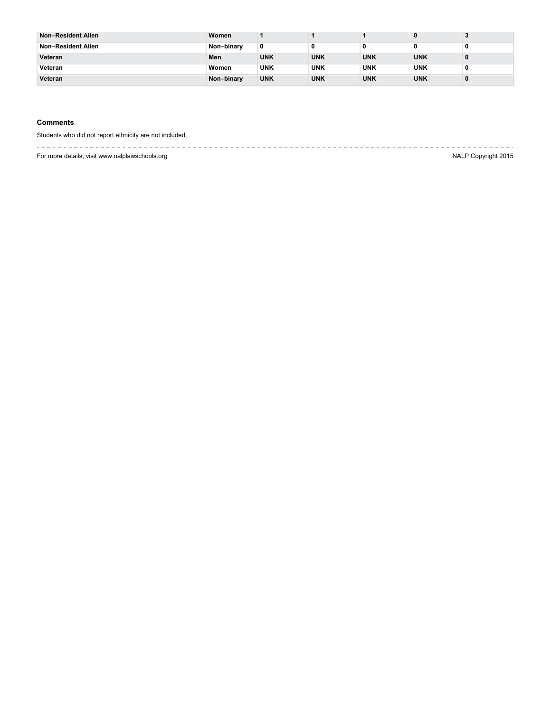| <b>Non-Resident Alien</b> | Women      |            |            |            |            |   |
|---------------------------|------------|------------|------------|------------|------------|---|
| Non-Resident Alien        | Non-binary |            |            |            |            |   |
| Veteran                   | Men        | <b>UNK</b> | <b>UNK</b> | <b>UNK</b> | <b>UNK</b> | o |
| Veteran                   | Women      | <b>UNK</b> | <b>UNK</b> | <b>UNK</b> | <b>UNK</b> |   |
| Veteran                   | Non-binary | <b>UNK</b> | <b>UNK</b> | <b>UNK</b> | <b>UNK</b> | 0 |

## **Comments**

Students who did not report ethnicity are not included.

-------------------------. . . . . . . . . . .

For more details, visit www.nalplawschools.org NALP Copyright 2015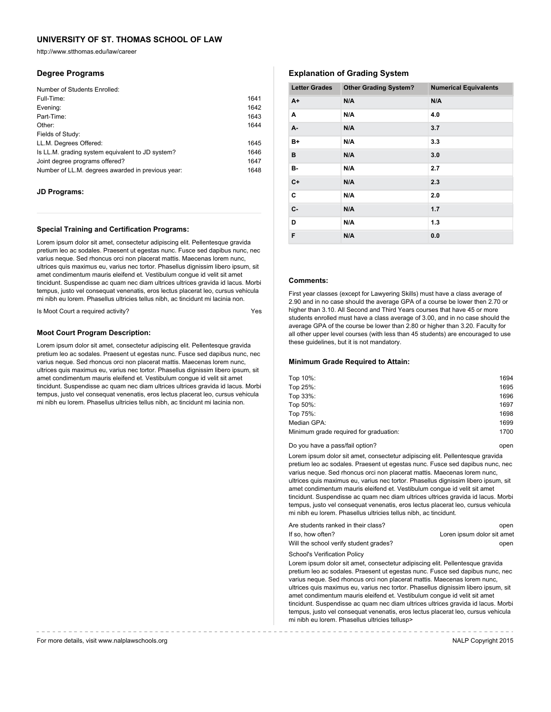http://www.stthomas.edu/law/career

## **Degree Programs**

| Number of Students Enrolled:                      |      |
|---------------------------------------------------|------|
| Full-Time:                                        | 1641 |
| Evening:                                          | 1642 |
| Part-Time:                                        | 1643 |
| Other:                                            | 1644 |
| Fields of Study:                                  |      |
| LL.M. Degrees Offered:                            | 1645 |
| Is LL.M. grading system equivalent to JD system?  | 1646 |
| Joint degree programs offered?                    | 1647 |
| Number of LL.M. degrees awarded in previous year: | 1648 |

## **JD Programs:**

## **Special Training and Certification Programs:**

Lorem ipsum dolor sit amet, consectetur adipiscing elit. Pellentesque gravida pretium leo ac sodales. Praesent ut egestas nunc. Fusce sed dapibus nunc, nec varius neque. Sed rhoncus orci non placerat mattis. Maecenas lorem nunc, ultrices quis maximus eu, varius nec tortor. Phasellus dignissim libero ipsum, sit amet condimentum mauris eleifend et. Vestibulum congue id velit sit amet tincidunt. Suspendisse ac quam nec diam ultrices ultrices gravida id lacus. Morbi tempus, justo vel consequat venenatis, eros lectus placerat leo, cursus vehicula mi nibh eu lorem. Phasellus ultricies tellus nibh, ac tincidunt mi lacinia non.

Is Moot Court a required activity?

## **Moot Court Program Description:**

Lorem ipsum dolor sit amet, consectetur adipiscing elit. Pellentesque gravida pretium leo ac sodales. Praesent ut egestas nunc. Fusce sed dapibus nunc, nec varius neque. Sed rhoncus orci non placerat mattis. Maecenas lorem nunc, ultrices quis maximus eu, varius nec tortor. Phasellus dignissim libero ipsum, sit amet condimentum mauris eleifend et. Vestibulum congue id velit sit amet tincidunt. Suspendisse ac quam nec diam ultrices ultrices gravida id lacus. Morbi tempus, justo vel consequat venenatis, eros lectus placerat leo, cursus vehicula mi nibh eu lorem. Phasellus ultricies tellus nibh, ac tincidunt mi lacinia non.

# **Explanation of Grading System**

| <b>Letter Grades</b> | <b>Other Grading System?</b> | <b>Numerical Equivalents</b> |
|----------------------|------------------------------|------------------------------|
| $A+$                 | N/A                          | N/A                          |
| A                    | N/A                          | 4.0                          |
| A-                   | N/A                          | 3.7                          |
| B+                   | N/A                          | 3.3                          |
| в                    | N/A                          | 3.0                          |
| в-                   | N/A                          | 2.7                          |
| $C+$                 | N/A                          | 2.3                          |
| C                    | N/A                          | 2.0                          |
| $C -$                | N/A                          | 1.7                          |
| D                    | N/A                          | 1.3                          |
| F                    | N/A                          | 0.0                          |

## **Comments:**

First year classes (except for Lawyering Skills) must have a class average of 2.90 and in no case should the average GPA of a course be lower then 2.70 or higher than 3.10. All Second and Third Years courses that have 45 or more students enrolled must have a class average of 3.00, and in no case should the average GPA of the course be lower than 2.80 or higher than 3.20. Faculty for all other upper level courses (with less than 45 students) are encouraged to use these guidelines, but it is not mandatory.

#### **Minimum Grade Required to Attain:**

| Top 10%:                               | 1694 |
|----------------------------------------|------|
| Top 25%:                               | 1695 |
| Top 33%:                               | 1696 |
| Top 50%:                               | 1697 |
| Top 75%:                               | 1698 |
| Median GPA:                            | 1699 |
| Minimum grade required for graduation: | 1700 |
|                                        |      |

Do you have a pass/fail option? The control open by the control open by the control open

Lorem ipsum dolor sit amet, consectetur adipiscing elit. Pellentesque gravida pretium leo ac sodales. Praesent ut egestas nunc. Fusce sed dapibus nunc, nec varius neque. Sed rhoncus orci non placerat mattis. Maecenas lorem nunc, ultrices quis maximus eu, varius nec tortor. Phasellus dignissim libero ipsum, sit amet condimentum mauris eleifend et. Vestibulum congue id velit sit amet tincidunt. Suspendisse ac quam nec diam ultrices ultrices gravida id lacus. Morbi tempus, justo vel consequat venenatis, eros lectus placerat leo, cursus vehicula mi nibh eu lorem. Phasellus ultricies tellus nibh, ac tincidunt.

| Are students ranked in their class?    | open                       |
|----------------------------------------|----------------------------|
| If so, how often?                      | Loren ipsum dolor sit amet |
| Will the school verify student grades? | open                       |

School's Verification Policy

Lorem ipsum dolor sit amet, consectetur adipiscing elit. Pellentesque gravida pretium leo ac sodales. Praesent ut egestas nunc. Fusce sed dapibus nunc, nec varius neque. Sed rhoncus orci non placerat mattis. Maecenas lorem nunc, ultrices quis maximus eu, varius nec tortor. Phasellus dignissim libero ipsum, sit amet condimentum mauris eleifend et. Vestibulum congue id velit sit amet tincidunt. Suspendisse ac quam nec diam ultrices ultrices gravida id lacus. Morbi tempus, justo vel consequat venenatis, eros lectus placerat leo, cursus vehicula mi nibh eu lorem. Phasellus ultricies tellusp>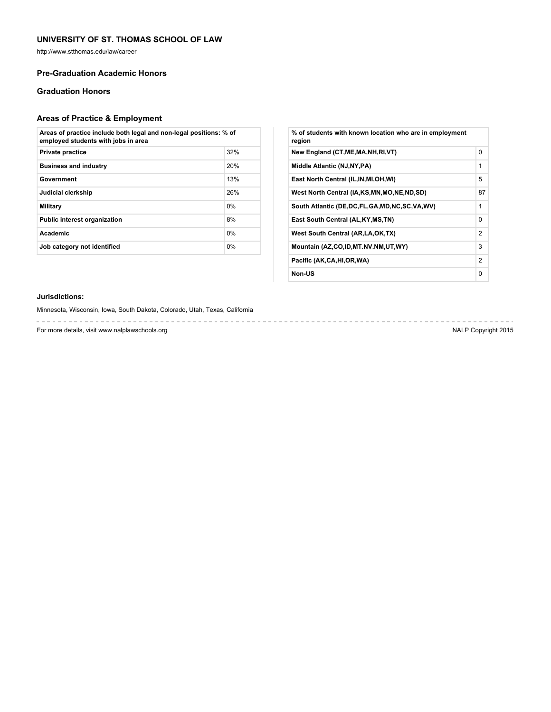http://www.stthomas.edu/law/career

## **Pre-Graduation Academic Honors**

# **Graduation Honors**

# **Areas of Practice & Employment**

| Areas of practice include both legal and non-legal positions: % of<br>employed students with jobs in area |       |  |
|-----------------------------------------------------------------------------------------------------------|-------|--|
| <b>Private practice</b>                                                                                   | 32%   |  |
| <b>Business and industry</b>                                                                              | 20%   |  |
| Government                                                                                                | 13%   |  |
| Judicial clerkship                                                                                        | 26%   |  |
| Military                                                                                                  | $0\%$ |  |
| <b>Public interest organization</b>                                                                       | 8%    |  |
| <b>Academic</b>                                                                                           | 0%    |  |
| 0%<br>Job category not identified                                                                         |       |  |

| % of students with known location who are in employment<br>region |          |
|-------------------------------------------------------------------|----------|
| New England (CT, ME, MA, NH, RI, VT)                              | $\Omega$ |
| Middle Atlantic (NJ, NY, PA)                                      | 1        |
| East North Central (IL, IN, MI, OH, WI)                           | 5        |
| West North Central (IA,KS,MN,MO,NE,ND,SD)                         | 87       |
| South Atlantic (DE, DC, FL, GA, MD, NC, SC, VA, WV)               | 1        |
| East South Central (AL, KY, MS, TN)                               | 0        |
| West South Central (AR, LA, OK, TX)                               | 2        |
| Mountain (AZ,CO,ID,MT.NV.NM,UT,WY)                                | 3        |
| Pacific (AK,CA,HI,OR,WA)                                          | 2        |
| Non-US                                                            | 0        |

## **Jurisdictions:**

Minnesota, Wisconsin, Iowa, South Dakota, Colorado, Utah, Texas, California

For more details, visit www.nalplawschools.org NALP Copyright 2015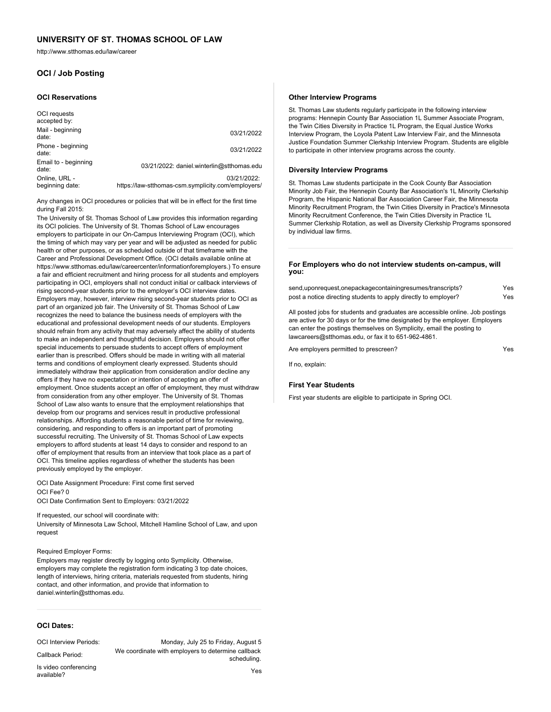http://www.stthomas.edu/law/career

# **OCI / Job Posting**

#### **OCI Reservations**

| OCI requests<br>accepted by:     |                                                                   |
|----------------------------------|-------------------------------------------------------------------|
| Mail - beginning<br>date:        | 03/21/2022                                                        |
| Phone - beginning<br>date:       | 03/21/2022                                                        |
| Email to - beginning<br>date:    | 03/21/2022: daniel.winterlin@stthomas.edu                         |
| Online, URL -<br>beginning date: | 03/21/2022:<br>https://law-stthomas-csm.symplicity.com/employers/ |

Any changes in OCI procedures or policies that will be in effect for the first time during Fall 2015:

The University of St. Thomas School of Law provides this information regarding its OCI policies. The University of St. Thomas School of Law encourages employers to participate in our On-Campus Interviewing Program (OCI), which the timing of which may vary per year and will be adjusted as needed for public health or other purposes, or as scheduled outside of that timeframe with the Career and Professional Development Office. (OCI details available online at https://www.stthomas.edu/law/careercenter/informationforemployers.) To ensure a fair and efficient recruitment and hiring process for all students and employers participating in OCI, employers shall not conduct initial or callback interviews of rising second-year students prior to the employer's OCI interview dates. Employers may, however, interview rising second-year students prior to OCI as part of an organized job fair. The University of St. Thomas School of Law recognizes the need to balance the business needs of employers with the educational and professional development needs of our students. Employers should refrain from any activity that may adversely affect the ability of students to make an independent and thoughtful decision. Employers should not offer special inducements to persuade students to accept offers of employment earlier than is prescribed. Offers should be made in writing with all material terms and conditions of employment clearly expressed. Students should immediately withdraw their application from consideration and/or decline any offers if they have no expectation or intention of accepting an offer of employment. Once students accept an offer of employment, they must withdraw from consideration from any other employer. The University of St. Thomas School of Law also wants to ensure that the employment relationships that develop from our programs and services result in productive professional relationships. Affording students a reasonable period of time for reviewing, considering, and responding to offers is an important part of promoting successful recruiting. The University of St. Thomas School of Law expects employers to afford students at least 14 days to consider and respond to an offer of employment that results from an interview that took place as a part of OCI. This timeline applies regardless of whether the students has been previously employed by the employer.

OCI Date Assignment Procedure: First come first served OCI Fee? 0

OCI Date Confirmation Sent to Employers: 03/21/2022

If requested, our school will coordinate with: University of Minnesota Law School, Mitchell Hamline School of Law, and upon request

## Required Employer Forms:

Employers may register directly by logging onto Symplicity. Otherwise, employers may complete the registration form indicating 3 top date choices, length of interviews, hiring criteria, materials requested from students, hiring contact, and other information, and provide that information to daniel.winterlin@stthomas.edu.

## **OCI Dates:**

#### OCI Interview Periods: Monday, July 25 to Friday, August 5

Callback Period: We coordinate with employers to determine callback scheduling.

Is video conferencing<br>available? available? Yes available?

# **Other Interview Programs** St. Thomas Law students regularly participate in the following interview

programs: Hennepin County Bar Association 1L Summer Associate Program, the Twin Cities Diversity in Practice 1L Program, the Equal Justice Works Interview Program, the Loyola Patent Law Interview Fair, and the Minnesota Justice Foundation Summer Clerkship Interview Program. Students are eligible to participate in other interview programs across the county.

#### **Diversity Interview Programs**

St. Thomas Law students participate in the Cook County Bar Association Minority Job Fair, the Hennepin County Bar Association's 1L Minority Clerkship Program, the Hispanic National Bar Association Career Fair, the Minnesota Minority Recruitment Program, the Twin Cities Diversity in Practice's Minnesota Minority Recruitment Conference, the Twin Cities Diversity in Practice 1L Summer Clerkship Rotation, as well as Diversity Clerkship Programs sponsored by individual law firms.

#### **For Employers who do not interview students on-campus, will you:**

send,uponrequest,onepackagecontainingresumes/transcripts? Yes post a notice directing students to apply directly to employer? Yes

All posted jobs for students and graduates are accessible online. Job postings are active for 30 days or for the time designated by the employer. Employers can enter the postings themselves on Symplicity, email the posting to lawcareers@stthomas.edu, or fax it to 651-962-4861.

Are employers permitted to prescreen?

If no, explain:

## **First Year Students**

First year students are eligible to participate in Spring OCI.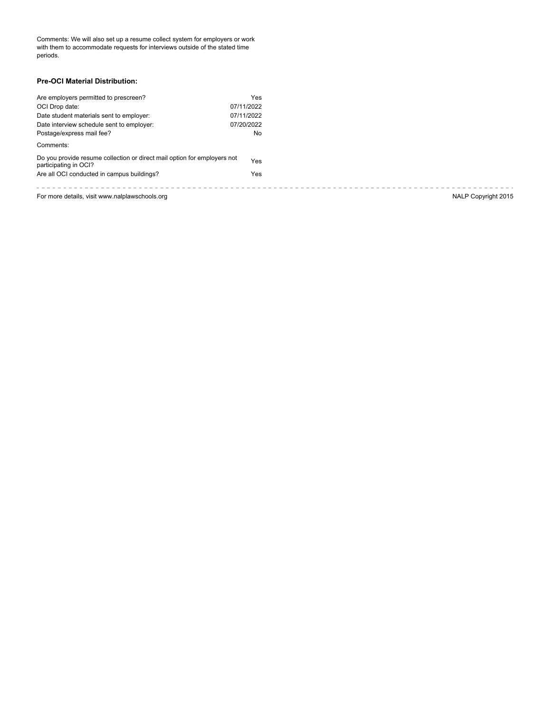Comments: We will also set up a resume collect system for employers or work with them to accommodate requests for interviews outside of the stated time periods.

## **Pre-OCI Material Distribution:**

| Are employers permitted to prescreen?                                                             | Yes        |                     |
|---------------------------------------------------------------------------------------------------|------------|---------------------|
| OCI Drop date:                                                                                    | 07/11/2022 |                     |
| Date student materials sent to employer:                                                          | 07/11/2022 |                     |
| Date interview schedule sent to employer:                                                         | 07/20/2022 |                     |
| Postage/express mail fee?                                                                         | No         |                     |
| Comments:                                                                                         |            |                     |
| Do you provide resume collection or direct mail option for employers not<br>participating in OCI? | Yes        |                     |
| Are all OCI conducted in campus buildings?                                                        | Yes        |                     |
|                                                                                                   |            |                     |
| For more details, visit www.nalplawschools.org                                                    |            | NALP Copyright 2015 |